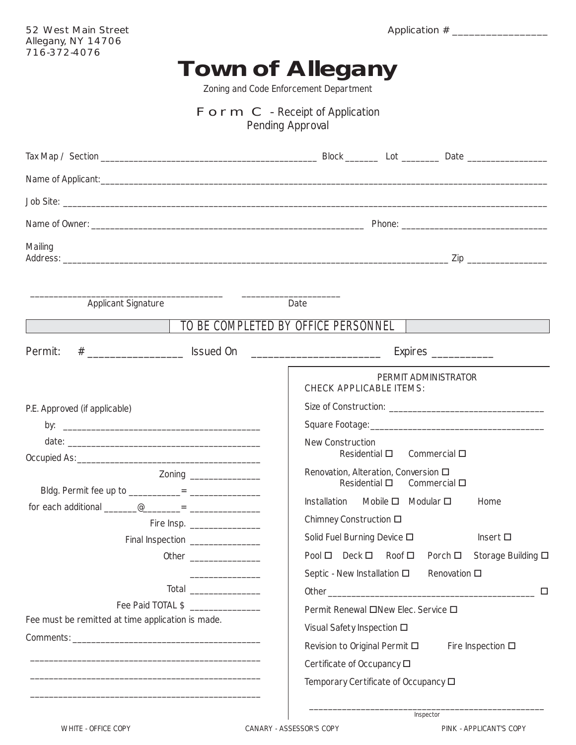52 West Main Street Application # \_\_\_\_\_\_\_\_\_\_\_\_\_\_\_\_\_ Allegany, NY 14706 716-372-4076

# **Town of Allegany**

Zoning and Code Enforcement Department

### Form C - Receipt of Application

Pending Approval

| Mailing                                                                                                       |                                                                                                                               |  |  |  |
|---------------------------------------------------------------------------------------------------------------|-------------------------------------------------------------------------------------------------------------------------------|--|--|--|
| Applicant Signature                                                                                           | Date                                                                                                                          |  |  |  |
|                                                                                                               | TO BE COMPLETED BY OFFICE PERSONNEL                                                                                           |  |  |  |
| Permit:                                                                                                       |                                                                                                                               |  |  |  |
|                                                                                                               | PERMIT ADMINISTRATOR<br><b>CHECK APPLICABLE ITEMS:</b>                                                                        |  |  |  |
| P.E. Approved (if applicable)                                                                                 |                                                                                                                               |  |  |  |
|                                                                                                               |                                                                                                                               |  |  |  |
|                                                                                                               | New Construction<br>Residential $\square$<br>Commercial $\square$                                                             |  |  |  |
|                                                                                                               | Renovation, Alteration, Conversion □<br>Residential $\Box$<br>Commercial $\square$                                            |  |  |  |
| for each additional $\frac{1}{\sqrt{2}}$ = $\frac{1}{\sqrt{2}}$ = $\frac{1}{\sqrt{2}}$ = $\frac{1}{\sqrt{2}}$ | Installation Mobile $\square$ Modular $\square$<br>Home                                                                       |  |  |  |
| Fire Insp. __________________                                                                                 | Chimney Construction □                                                                                                        |  |  |  |
| Final Inspection _______________                                                                              | Solid Fuel Burning Device □<br>Insert $\square$                                                                               |  |  |  |
|                                                                                                               | Pool $\Box$ Deck $\Box$ Roof $\Box$ Porch $\Box$<br>Storage Building □<br>Septic - New Installation □<br>Renovation $\square$ |  |  |  |
|                                                                                                               | □                                                                                                                             |  |  |  |
| Fee Paid TOTAL \$ _______________<br>Fee must be remitted at time application is made.                        | Permit Renewal □New Elec. Service □                                                                                           |  |  |  |
|                                                                                                               | Visual Safety Inspection □                                                                                                    |  |  |  |
|                                                                                                               | Revision to Original Permit □<br>Fire Inspection $\square$                                                                    |  |  |  |
|                                                                                                               | Certificate of Occupancy □                                                                                                    |  |  |  |
|                                                                                                               | Temporary Certificate of Occupancy □                                                                                          |  |  |  |

\_\_\_\_\_\_\_\_\_\_\_\_\_\_\_\_\_\_\_\_\_\_\_\_\_\_\_\_\_\_\_\_\_\_\_\_\_\_\_\_\_\_\_\_\_\_\_\_\_\_